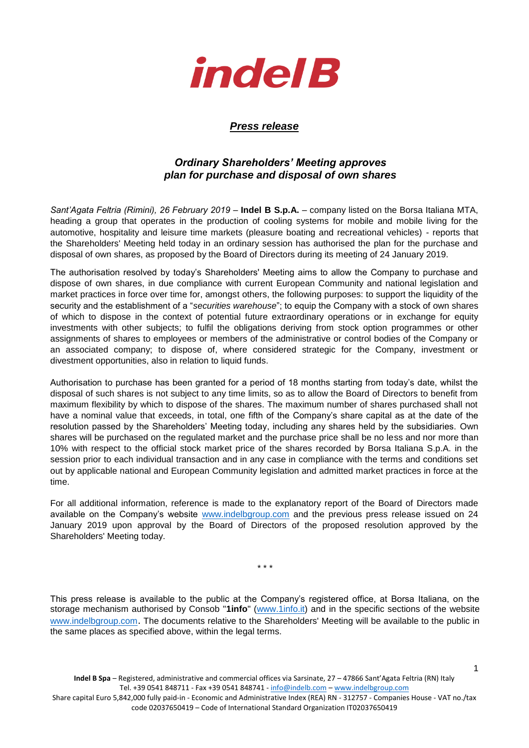

## *Press release*

## *Ordinary Shareholders' Meeting approves plan for purchase and disposal of own shares*

*Sant'Agata Feltria (Rimini), 26 February 2019* – **Indel B S.p.A.** – company listed on the Borsa Italiana MTA, heading a group that operates in the production of cooling systems for mobile and mobile living for the automotive, hospitality and leisure time markets (pleasure boating and recreational vehicles) - reports that the Shareholders' Meeting held today in an ordinary session has authorised the plan for the purchase and disposal of own shares, as proposed by the Board of Directors during its meeting of 24 January 2019.

The authorisation resolved by today's Shareholders' Meeting aims to allow the Company to purchase and dispose of own shares, in due compliance with current European Community and national legislation and market practices in force over time for, amongst others, the following purposes: to support the liquidity of the security and the establishment of a "*securities warehouse*"; to equip the Company with a stock of own shares of which to dispose in the context of potential future extraordinary operations or in exchange for equity investments with other subjects; to fulfil the obligations deriving from stock option programmes or other assignments of shares to employees or members of the administrative or control bodies of the Company or an associated company; to dispose of, where considered strategic for the Company, investment or divestment opportunities, also in relation to liquid funds.

Authorisation to purchase has been granted for a period of 18 months starting from today's date, whilst the disposal of such shares is not subject to any time limits, so as to allow the Board of Directors to benefit from maximum flexibility by which to dispose of the shares. The maximum number of shares purchased shall not have a nominal value that exceeds, in total, one fifth of the Company's share capital as at the date of the resolution passed by the Shareholders' Meeting today, including any shares held by the subsidiaries. Own shares will be purchased on the regulated market and the purchase price shall be no less and nor more than 10% with respect to the official stock market price of the shares recorded by Borsa Italiana S.p.A. in the session prior to each individual transaction and in any case in compliance with the terms and conditions set out by applicable national and European Community legislation and admitted market practices in force at the time.

For all additional information, reference is made to the explanatory report of the Board of Directors made available on the Company's website [www.indelbgroup.com](http://www.indelbgroup.com/) and the previous press release issued on 24 January 2019 upon approval by the Board of Directors of the proposed resolution approved by the Shareholders' Meeting today.

\* \* \*

This press release is available to the public at the Company's registered office, at Borsa Italiana, on the storage mechanism authorised by Consob "**1info**" [\(www.1info.it\)](file:///C:/Users/ddelietovollaro/AppData/Local/Microsoft/Windows/INetCache/Content.Outlook/T87B94UR/www.1info.it) and in the specific sections of the website [www.indelbgroup.com](http://www.indelbgroup.com/). The documents relative to the Shareholders' Meeting will be available to the public in the same places as specified above, within the legal terms.

1

Share capital Euro 5,842,000 fully paid-in - Economic and Administrative Index (REA) RN - 312757 - Companies House - VAT no./tax code 02037650419 – Code of International Standard Organization IT02037650419